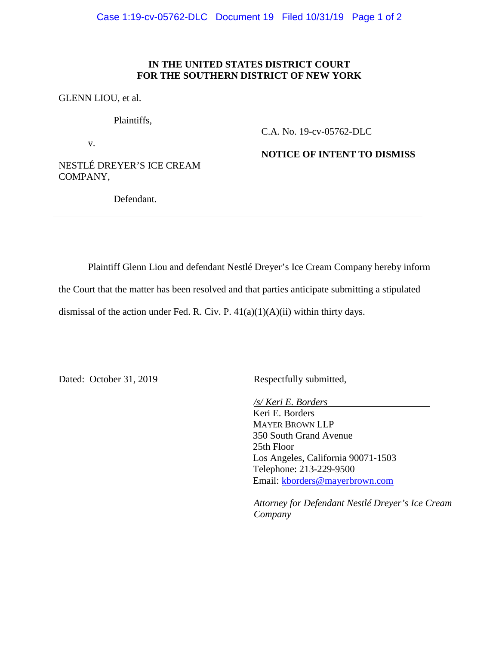## **IN THE UNITED STATES DISTRICT COURT FOR THE SOUTHERN DISTRICT OF NEW YORK**

GLENN LIOU, et al.

Plaintiffs,

v.

NESTLÉ DREYER'S ICE CREAM COMPANY,

C.A. No. 19-cv-05762-DLC

**NOTICE OF INTENT TO DISMISS** 

Defendant.

Plaintiff Glenn Liou and defendant Nestlé Dreyer's Ice Cream Company hereby inform

the Court that the matter has been resolved and that parties anticipate submitting a stipulated

dismissal of the action under Fed. R. Civ. P.  $41(a)(1)(A)(ii)$  within thirty days.

Dated: October 31, 2019 Respectfully submitted,

*/s/ Keri E. Borders* 

Keri E. Borders MAYER BROWN LLP 350 South Grand Avenue 25th Floor Los Angeles, California 90071-1503 Telephone: 213-229-9500 Email: kborders@mayerbrown.com

*Attorney for Defendant Nestlé Dreyer's Ice Cream Company*